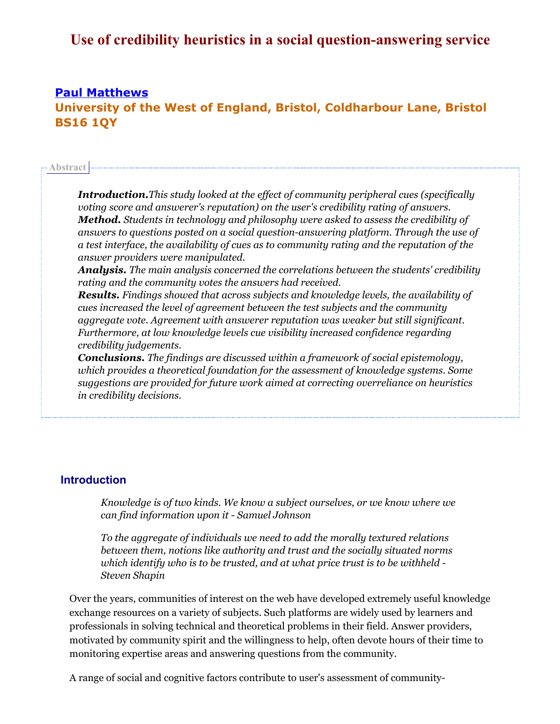# Use of credibility heuristics in a social question-answering service

### [Paul Matthews](http://www.informationr.net/ir/20-1/isic2/isic27.html#author)

# University of the West of England, Bristol, Coldharbour Lane, Bristol BS16 1QY

#### Abstract

Introduction. This study looked at the effect of community peripheral cues (specifically voting score and answerer's reputation) on the user's credibility rating of answers. Method. Students in technology and philosophy were asked to assess the credibility of answers to questions posted on a social question-answering platform. Through the use of a test interface, the availability of cues as to community rating and the reputation of the answer providers were manipulated.

Analysis. The main analysis concerned the correlations between the students' credibility rating and the community votes the answers had received.

Results. Findings showed that across subjects and knowledge levels, the availability of cues increased the level of agreement between the test subjects and the community aggregate vote. Agreement with answerer reputation was weaker but still significant. Furthermore, at low knowledge levels cue visibility increased confidence regarding credibility judgements.

Conclusions. The findings are discussed within a framework of social epistemology, which provides a theoretical foundation for the assessment of knowledge systems. Some suggestions are provided for future work aimed at correcting overreliance on heuristics in credibility decisions.

### **Introduction**

Knowledge is of two kinds. We know a subject ourselves, or we know where we can find information upon it - Samuel Johnson

To the aggregate of individuals we need to add the morally textured relations between them, notions like authority and trust and the socially situated norms which identify who is to be trusted, and at what price trust is to be withheld -Steven Shapin

Over the years, communities of interest on the web have developed extremely useful knowledge exchange resources on a variety of subjects. Such platforms are widely used by learners and professionals in solving technical and theoretical problems in their field. Answer providers, motivated by community spirit and the willingness to help, often devote hours of their time to monitoring expertise areas and answering questions from the community.

A range of social and cognitive factors contribute to user's assessment of community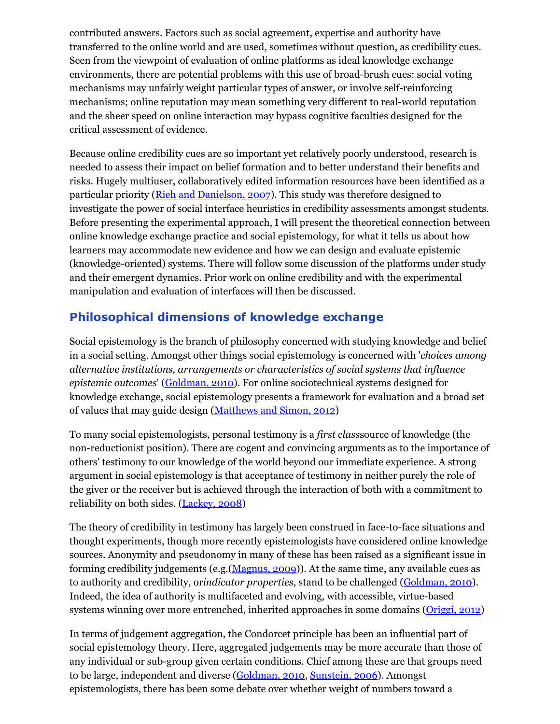contributed answers. Factors such as social agreement, expertise and authority have transferred to the online world and are used, sometimes without question, as credibility cues. Seen from the viewpoint of evaluation of online platforms as ideal knowledge exchange environments, there are potential problems with this use of broad-brush cues: social voting mechanisms may unfairly weight particular types of answer, or involve self-reinforcing mechanisms; online reputation may mean something very different to real-world reputation and the sheer speed on online interaction may bypass cognitive faculties designed for the critical assessment of evidence.

Because online credibility cues are so important yet relatively poorly understood, research is needed to assess their impact on belief formation and to better understand their benefits and risks. Hugely multiuser, collaboratively edited information resources have been identified as a particular priority (Rieh and [Danielson,](http://www.informationr.net/ir/20-1/isic2/isic27.html#rie07) 2007). This study was therefore designed to investigate the power of social interface heuristics in credibility assessments amongst students. Before presenting the experimental approach, I will present the theoretical connection between online knowledge exchange practice and social epistemology, for what it tells us about how learners may accommodate new evidence and how we can design and evaluate epistemic (knowledge-oriented) systems. There will follow some discussion of the platforms under study and their emergent dynamics. Prior work on online credibility and with the experimental manipulation and evaluation of interfaces will then be discussed.

## Philosophical dimensions of knowledge exchange

Social epistemology is the branch of philosophy concerned with studying knowledge and belief in a social setting. Amongst other things social epistemology is concerned with 'choices among alternative institutions, arrangements or characteristics of social systems that influence epistemic outcomes' ([Goldman,](http://www.informationr.net/ir/20-1/isic2/isic27.html#gol10) 2010). For online sociotechnical systems designed for knowledge exchange, social epistemology presents a framework for evaluation and a broad set of values that may guide design [\(Matthews](http://www.informationr.net/ir/20-1/isic2/isic27.html#mat12) and Simon, 2012)

To many social epistemologists, personal testimony is a first classsource of knowledge (the non-reductionist position). There are cogent and convincing arguments as to the importance of others' testimony to our knowledge of the world beyond our immediate experience. A strong argument in social epistemology is that acceptance of testimony in neither purely the role of the giver or the receiver but is achieved through the interaction of both with a commitment to reliability on both sides. [\(Lackey,](http://www.informationr.net/ir/20-1/isic2/isic27.html#lac08) 2008)

The theory of credibility in testimony has largely been construed in face-to-face situations and thought experiments, though more recently epistemologists have considered online knowledge sources. Anonymity and pseudonomy in many of these has been raised as a significant issue in forming credibility judgements (e.g.[\(Magnus,](http://www.informationr.net/ir/20-1/isic2/isic27.html#mag09) 2009)). At the same time, any available cues as to authority and credibility, orindicator properties, stand to be challenged [\(Goldman,](http://www.informationr.net/ir/20-1/isic2/isic27.html#gol10) 2010). Indeed, the idea of authority is multifaceted and evolving, with accessible, virtuebased systems winning over more entrenched, inherited approaches in some domains [\(Origgi,](http://www.informationr.net/ir/20-1/isic2/isic27.html#ori12) 2012)

In terms of judgement aggregation, the Condorcet principle has been an influential part of social epistemology theory. Here, aggregated judgements may be more accurate than those of any individual or sub-group given certain conditions. Chief among these are that groups need to be large, independent and diverse [\(Goldman,](http://www.informationr.net/ir/20-1/isic2/isic27.html#gol10) 2010, [Sunstein,](http://www.informationr.net/ir/20-1/isic2/isic27.html#sun06) 2006). Amongst epistemologists, there has been some debate over whether weight of numbers toward a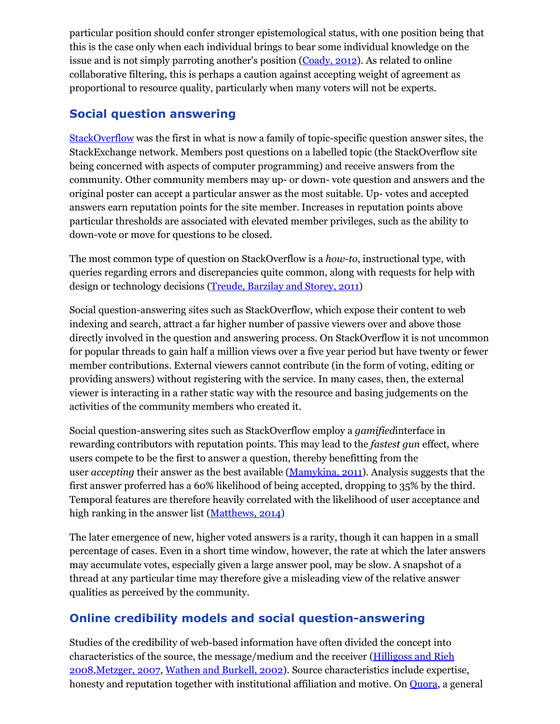particular position should confer stronger epistemological status, with one position being that this is the case only when each individual brings to bear some individual knowledge on the issue and is not simply parroting another's position ([Coady,](http://www.informationr.net/ir/20-1/isic2/isic27.html#coa12) 2012). As related to online collaborative filtering, this is perhaps a caution against accepting weight of agreement as proportional to resource quality, particularly when many voters will not be experts.

# Social question answering

[StackOverflow](http://www.stackoverflow.com/) was the first in what is now a family of topic-specific question answer sites, the StackExchange network. Members post questions on a labelled topic (the StackOverflow site being concerned with aspects of computer programming) and receive answers from the community. Other community members may up- or down-vote question and answers and the original poster can accept a particular answer as the most suitable. Up-votes and accepted answers earn reputation points for the site member. Increases in reputation points above particular thresholds are associated with elevated member privileges, such as the ability to down-vote or move for questions to be closed.

The most common type of question on StackOverflow is a *how-to*, instructional type, with queries regarding errors and discrepancies quite common, along with requests for help with design or technology decisions (Treude, [Barzilay](http://www.informationr.net/ir/20-1/isic2/isic27.html#tre11) and Storey, 2011)

Social question-answering sites such as StackOverflow, which expose their content to web indexing and search, attract a far higher number of passive viewers over and above those directly involved in the question and answering process. On StackOverflow it is not uncommon for popular threads to gain half a million views over a five year period but have twenty or fewer member contributions. External viewers cannot contribute (in the form of voting, editing or providing answers) without registering with the service. In many cases, then, the external viewer is interacting in a rather static way with the resource and basing judgements on the activities of the community members who created it.

Social question-answering sites such as StackOverflow employ a *gamified* interface in rewarding contributors with reputation points. This may lead to the *fastest gun* effect, where users compete to be the first to answer a question, thereby benefitting from the user *accepting* their answer as the best available [\(Mamykina,](http://www.informationr.net/ir/20-1/isic2/isic27.html#mam11) 2011). Analysis suggests that the first answer proferred has a 60% likelihood of being accepted, dropping to 35% by the third. Temporal features are therefore heavily correlated with the likelihood of user acceptance and high ranking in the answer list [\(Matthews,](http://www.informationr.net/ir/20-1/isic2/isic27.html#mat14) 2014)

The later emergence of new, higher voted answers is a rarity, though it can happen in a small percentage of cases. Even in a short time window, however, the rate at which the later answers may accumulate votes, especially given a large answer pool, may be slow. A snapshot of a thread at any particular time may therefore give a misleading view of the relative answer qualities as perceived by the community.

# Online credibility models and social question-answering

Studies of the credibility of web-based information have often divided the concept into characteristics of the source, the [message/medium](http://www.informationr.net/ir/20-1/isic2/isic27.html#hil08) and the receiver (Hilligoss and Rieh 2008[,Metzger,](http://www.informationr.net/ir/20-1/isic2/isic27.html#met07) 2007, Wathen and [Burkell,](http://www.informationr.net/ir/20-1/isic2/isic27.html#wat02) 2002). Source characteristics include expertise, honesty and reputation together with institutional affiliation and motive. On [Quora,](http://www.quora.com/) a general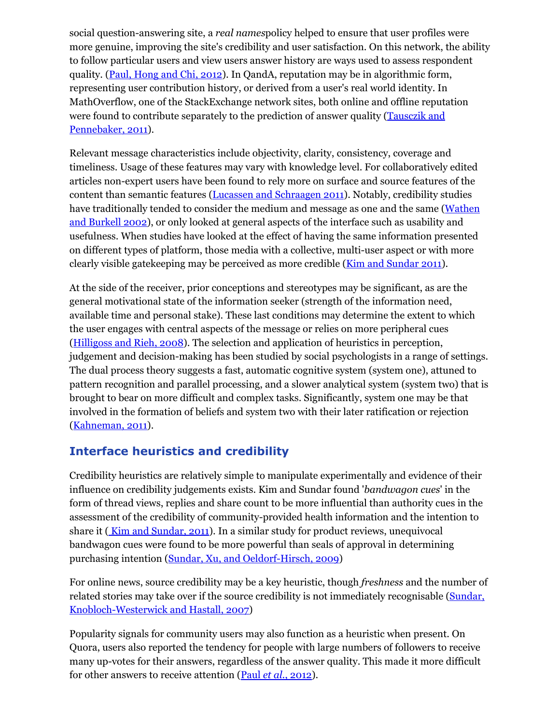social question-answering site, a *real namespolicy helped to ensure that user profiles were* more genuine, improving the site's credibility and user satisfaction. On this network, the ability to follow particular users and view users answer history are ways used to assess respondent quality. (Paul, [Hong](http://www.informationr.net/ir/20-1/isic2/isic27.html#pau12) and Chi, 2012). In QandA, reputation may be in algorithmic form, representing user contribution history, or derived from a user's real world identity. In MathOverflow, one of the StackExchange network sites, both online and offline reputation were found to contribute separately to the prediction of answer quality (Tausczik and [Pennebaker,](http://www.informationr.net/ir/20-1/isic2/isic27.html#tau11) 2011).

Relevant message characteristics include objectivity, clarity, consistency, coverage and timeliness. Usage of these features may vary with knowledge level. For collaboratively edited articles non-expert users have been found to rely more on surface and source features of the content than semantic features (Lucassen and [Schraagen](http://www.informationr.net/ir/20-1/isic2/isic27.html#luc11) 2011). Notably, credibility studies have [traditionally](http://www.informationr.net/ir/20-1/isic2/isic27.html#wat02) tended to consider the medium and message as one and the same (Wathen and Burkell 2002), or only looked at general aspects of the interface such as usability and usefulness. When studies have looked at the effect of having the same information presented on different types of platform, those media with a collective, multi-user aspect or with more clearly visible gatekeeping may be perceived as more credible (Kim and [Sundar](http://www.informationr.net/ir/20-1/isic2/isic27.html#kim11) 2011).

At the side of the receiver, prior conceptions and stereotypes may be significant, as are the general motivational state of the information seeker (strength of the information need, available time and personal stake). These last conditions may determine the extent to which the user engages with central aspects of the message or relies on more peripheral cues [\(Hilligoss](http://www.informationr.net/ir/20-1/isic2/isic27.html#hil08) and Rieh, 2008). The selection and application of heuristics in perception, judgement and decision-making has been studied by social psychologists in a range of settings. The dual process theory suggests a fast, automatic cognitive system (system one), attuned to pattern recognition and parallel processing, and a slower analytical system (system two) that is brought to bear on more difficult and complex tasks. Significantly, system one may be that involved in the formation of beliefs and system two with their later ratification or rejection [\(Kahneman,](http://www.informationr.net/ir/20-1/isic2/isic27.html#kah11) 2011).

## Interface heuristics and credibility

Credibility heuristics are relatively simple to manipulate experimentally and evidence of their influence on credibility judgements exists. Kim and Sundar found 'bandwagon cues' in the form of thread views, replies and share count to be more influential than authority cues in the assessment of the credibility of community-provided health information and the intention to share it ( Kim and [Sundar,](http://www.informationr.net/ir/20-1/isic2/isic27.html#kim11) 2011). In a similar study for product reviews, unequivocal bandwagon cues were found to be more powerful than seals of approval in determining purchasing intention (Sundar, Xu, and Oeldorf-Hirsch, 2009)

For online news, source credibility may be a key heuristic, though *freshness* and the number of related stories may take over if the source credibility is not immediately recognisable (Sundar, Knobloch-Westerwick and Hastall, 2007)

Popularity signals for community users may also function as a heuristic when present. On Quora, users also reported the tendency for people with large numbers of followers to receive many up-votes for their answers, regardless of the answer quality. This made it more difficult for other answers to receive attention (Paul et al., [2012](http://www.informationr.net/ir/20-1/isic2/isic27.html#pau12)).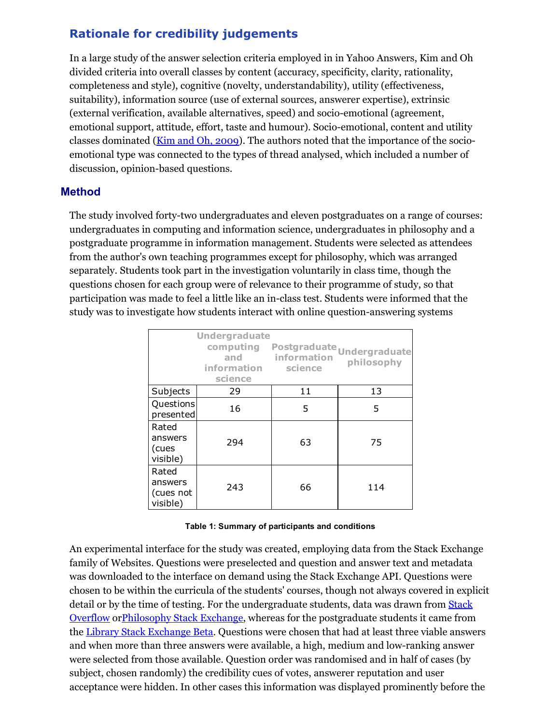# Rationale for credibility judgements

In a large study of the answer selection criteria employed in in Yahoo Answers, Kim and Oh divided criteria into overall classes by content (accuracy, specificity, clarity, rationality, completeness and style), cognitive (novelty, understandability), utility (effectiveness, suitability), information source (use of external sources, answerer expertise), extrinsic (external verification, available alternatives, speed) and socio-emotional (agreement, emotional support, attitude, effort, taste and humour). Socio-emotional, content and utility classes dominated (Kim and Oh, [2009\)](http://www.informationr.net/ir/20-1/isic2/isic27.html#kim09). The authors noted that the importance of the socioemotional type was connected to the types of thread analysed, which included a number of discussion, opinion-based questions.

## Method

The study involved forty-two undergraduates and eleven postgraduates on a range of courses: undergraduates in computing and information science, undergraduates in philosophy and a postgraduate programme in information management. Students were selected as attendees from the author's own teaching programmes except for philosophy, which was arranged separately. Students took part in the investigation voluntarily in class time, though the questions chosen for each group were of relevance to their programme of study, so that participation was made to feel a little like an in-class test. Students were informed that the study was to investigate how students interact with online question-answering systems

|                                           | <b>Undergraduate</b><br>computing<br>and<br>information<br>science | information<br>science | Postgraduate Undergraduate<br>philosophy |
|-------------------------------------------|--------------------------------------------------------------------|------------------------|------------------------------------------|
| Subjects                                  | 29                                                                 | 11                     | 13                                       |
| Questions<br>presented                    | 16                                                                 | 5                      | 5                                        |
| Rated<br>answers<br>(cues<br>visible)     | 294                                                                | 63                     | 75                                       |
| Rated<br>answers<br>(cues not<br>visible) | 243                                                                | 66                     | 114                                      |

Table 1: Summary of participants and conditions

An experimental interface for the study was created, employing data from the Stack Exchange family of Websites. Questions were preselected and question and answer text and metadata was downloaded to the interface on demand using the Stack Exchange API. Questions were chosen to be within the curricula of the students' courses, though not always covered in explicit detail or by the time of testing. For the [undergraduate](http://www.stackoverflow.com/) students, data was drawn from Stack Overflow o[rPhilosophy](http://philosophy.stackexchange.com/) Stack Exchange, whereas for the postgraduate students it came from the Library Stack [Exchange](http://area51.stackexchange.com/proposals/12432/libraries-information-science/) Beta. Questions were chosen that had at least three viable answers and when more than three answers were available, a high, medium and lowranking answer were selected from those available. Question order was randomised and in half of cases (by subject, chosen randomly) the credibility cues of votes, answerer reputation and user acceptance were hidden. In other cases this information was displayed prominently before the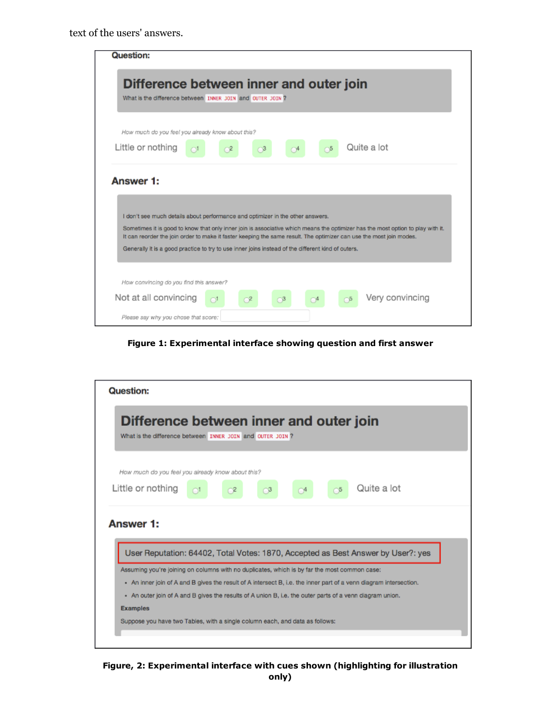text of the users' answers.

| What is the difference between INNER JOIN and OUTER JOIN ?                                                                                                                                                                                                                                                  |                      |  |    |                                                                                                                                 |
|-------------------------------------------------------------------------------------------------------------------------------------------------------------------------------------------------------------------------------------------------------------------------------------------------------------|----------------------|--|----|---------------------------------------------------------------------------------------------------------------------------------|
| How much do you feel you already know about this?                                                                                                                                                                                                                                                           |                      |  |    |                                                                                                                                 |
| Little or nothing                                                                                                                                                                                                                                                                                           |                      |  |    | Quite a lot                                                                                                                     |
|                                                                                                                                                                                                                                                                                                             |                      |  |    |                                                                                                                                 |
| I don't see much details about performance and optimizer in the other answers.<br>It can reorder the join order to make it faster keeping the same result. The optimizer can use the most join modes.<br>Generally it is a good practice to try to use inner joins instead of the different kind of outers. |                      |  |    | Sometimes it is good to know that only inner join is associative which means the optimizer has the most option to play with it. |
|                                                                                                                                                                                                                                                                                                             |                      |  |    |                                                                                                                                 |
| How convincing do you find this answer?                                                                                                                                                                                                                                                                     |                      |  |    |                                                                                                                                 |
| Not at all convincing                                                                                                                                                                                                                                                                                       | $\odot$ <sup>1</sup> |  | -4 | Very convincing                                                                                                                 |

Figure 1: Experimental interface showing question and first answer

| Question:       |                                                                                                                                                                                  |
|-----------------|----------------------------------------------------------------------------------------------------------------------------------------------------------------------------------|
|                 | Difference between inner and outer join<br>What is the difference between INNER JOIN and OUTER JOIN ?                                                                            |
|                 | How much do you feel you already know about this?<br>Quite a lot<br>Little or nothing<br>$\bigcap$<br>$\bigcap$                                                                  |
|                 | <b>Answer 1:</b>                                                                                                                                                                 |
|                 | User Reputation: 64402, Total Votes: 1870, Accepted as Best Answer by User?: yes<br>Assuming you're joining on columns with no duplicates, which is by far the most common case: |
|                 | • An inner join of A and B gives the result of A intersect B, i.e. the inner part of a venn diagram intersection.                                                                |
|                 | - An outer join of A and B gives the results of A union B, i.e. the outer parts of a venn diagram union.                                                                         |
| <b>Examples</b> |                                                                                                                                                                                  |
|                 | Suppose you have two Tables, with a single column each, and data as follows:                                                                                                     |
|                 |                                                                                                                                                                                  |

Figure, 2: Experimental interface with cues shown (highlighting for illustration only)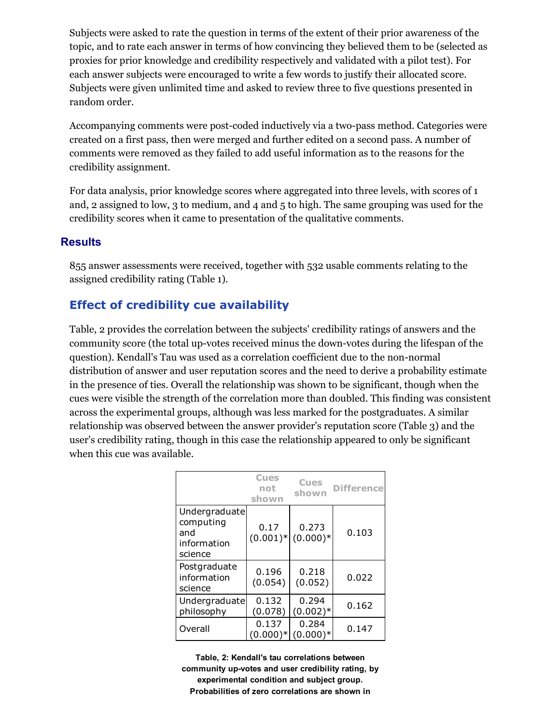Subjects were asked to rate the question in terms of the extent of their prior awareness of the topic, and to rate each answer in terms of how convincing they believed them to be (selected as proxies for prior knowledge and credibility respectively and validated with a pilot test). For each answer subjects were encouraged to write a few words to justify their allocated score. Subjects were given unlimited time and asked to review three to five questions presented in random order.

Accompanying comments were post-coded inductively via a two-pass method. Categories were created on a first pass, then were merged and further edited on a second pass. A number of comments were removed as they failed to add useful information as to the reasons for the credibility assignment.

For data analysis, prior knowledge scores where aggregated into three levels, with scores of 1 and, 2 assigned to low, 3 to medium, and 4 and 5 to high. The same grouping was used for the credibility scores when it came to presentation of the qualitative comments.

### **Results**

855 answer assessments were received, together with 532 usable comments relating to the assigned credibility rating (Table 1).

## Effect of credibility cue availability

Table, 2 provides the correlation between the subjects' credibility ratings of answers and the community score (the total up-votes received minus the down-votes during the lifespan of the question). Kendall's Tau was used as a correlation coefficient due to the non-normal distribution of answer and user reputation scores and the need to derive a probability estimate in the presence of ties. Overall the relationship was shown to be significant, though when the cues were visible the strength of the correlation more than doubled. This finding was consistent across the experimental groups, although was less marked for the postgraduates. A similar relationship was observed between the answer provider's reputation score (Table 3) and the user's credibility rating, though in this case the relationship appeared to only be significant when this cue was available.

|                                                             | Cues<br>not<br>shown | Cues<br>shown       | <b>Difference</b> |
|-------------------------------------------------------------|----------------------|---------------------|-------------------|
| Undergraduate<br>computing<br>and<br>information<br>science | 0.17<br>$(0.001)*$   | 0.273<br>$(0.000)*$ | 0.103             |
| Postgraduate<br>information<br>science                      | 0.196<br>(0.054)     | 0.218<br>(0.052)    | 0.022             |
| Undergraduate<br>philosophy                                 | 0.132<br>(0.078)     | 0.294<br>$(0.002)*$ | 0.162             |
| Overall                                                     | 0.137<br>$(0.000)*$  | 0.284<br>$(0.000)*$ | 0.147             |

Table, 2: Kendall's tau correlations between community up-votes and user credibility rating, by experimental condition and subject group. Probabilities of zero correlations are shown in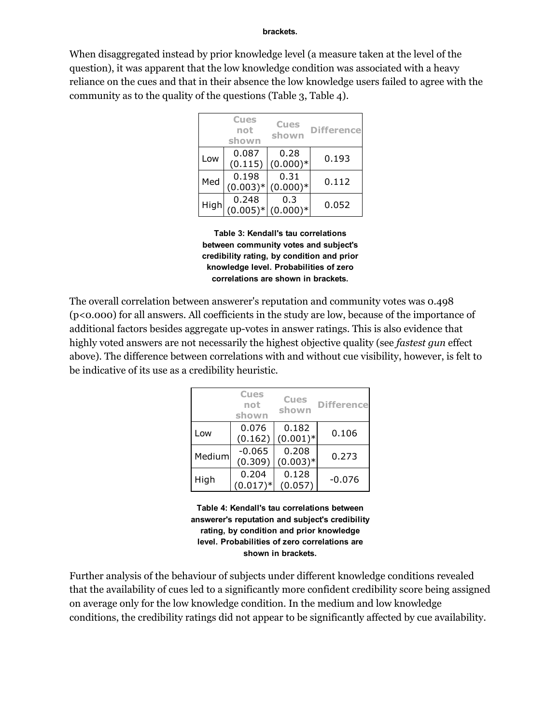#### brackets.

When disaggregated instead by prior knowledge level (a measure taken at the level of the question), it was apparent that the low knowledge condition was associated with a heavy reliance on the cues and that in their absence the low knowledge users failed to agree with the community as to the quality of the questions (Table 3, Table 4).

|      | Cues<br>not<br>shown | <b>Cues</b><br>shown | <b>Difference</b> |
|------|----------------------|----------------------|-------------------|
| Low  | 0.087<br>(0.115)     | 0.28<br>$(0.000)*$   | 0.193             |
| Med  | 0.198<br>$(0.003)*$  | 0.31<br>$(0.000)*$   | 0.112             |
| High | 0.248<br>$(0.005)*$  | 0.3<br>$(0.000)*$    | 0.052             |

Table 3: Kendall's tau correlations between community votes and subject's credibility rating, by condition and prior knowledge level. Probabilities of zero correlations are shown in brackets.

The overall correlation between answerer's reputation and community votes was 0.498 (p<0.000) for all answers. All coefficients in the study are low, because of the importance of additional factors besides aggregate up-votes in answer ratings. This is also evidence that highly voted answers are not necessarily the highest objective quality (see *fastest qun* effect above). The difference between correlations with and without cue visibility, however, is felt to be indicative of its use as a credibility heuristic.

|        | <b>Cues</b><br>not<br>shown | <b>Cues</b><br>shown | <b>Difference</b> |
|--------|-----------------------------|----------------------|-------------------|
| Low    | 0.076<br>(0.162)            | 0.182<br>$(0.001)*$  | 0.106             |
| Medium | $-0.065$<br>(0.309)         | 0.208<br>$(0.003)*$  | 0.273             |
| High   | 0.204<br>$(0.017)^*$        | 0.128<br>(0.057)     | $-0.076$          |

Table 4: Kendall's tau correlations between answerer's reputation and subject's credibility rating, by condition and prior knowledge level. Probabilities of zero correlations are shown in brackets.

Further analysis of the behaviour of subjects under different knowledge conditions revealed that the availability of cues led to a significantly more confident credibility score being assigned on average only for the low knowledge condition. In the medium and low knowledge conditions, the credibility ratings did not appear to be significantly affected by cue availability.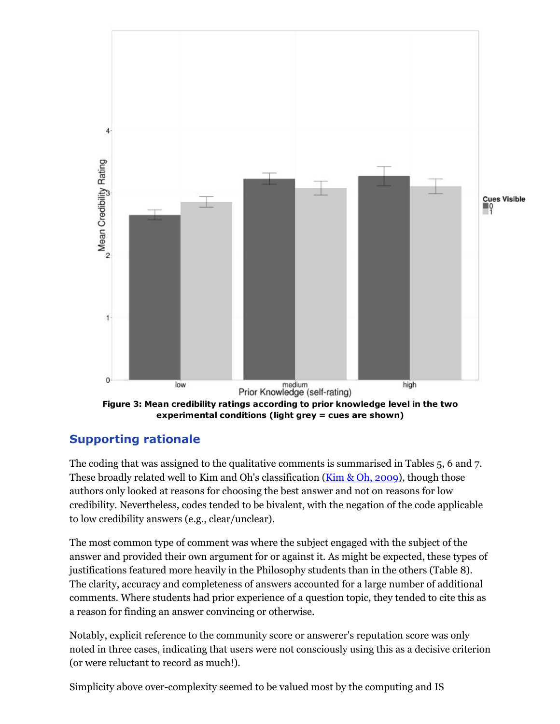

# Supporting rationale

The coding that was assigned to the qualitative comments is summarised in Tables 5, 6 and 7. These broadly related well to Kim and Oh's classification (Kim & Oh, [2009\)](http://www.informationr.net/ir/20-1/isic2/isic27.html#kim09), though those authors only looked at reasons for choosing the best answer and not on reasons for low credibility. Nevertheless, codes tended to be bivalent, with the negation of the code applicable to low credibility answers (e.g., clear/unclear).

The most common type of comment was where the subject engaged with the subject of the answer and provided their own argument for or against it. As might be expected, these types of justifications featured more heavily in the Philosophy students than in the others (Table 8). The clarity, accuracy and completeness of answers accounted for a large number of additional comments. Where students had prior experience of a question topic, they tended to cite this as a reason for finding an answer convincing or otherwise.

Notably, explicit reference to the community score or answerer's reputation score was only noted in three cases, indicating that users were not consciously using this as a decisive criterion (or were reluctant to record as much!).

Simplicity above over-complexity seemed to be valued most by the computing and IS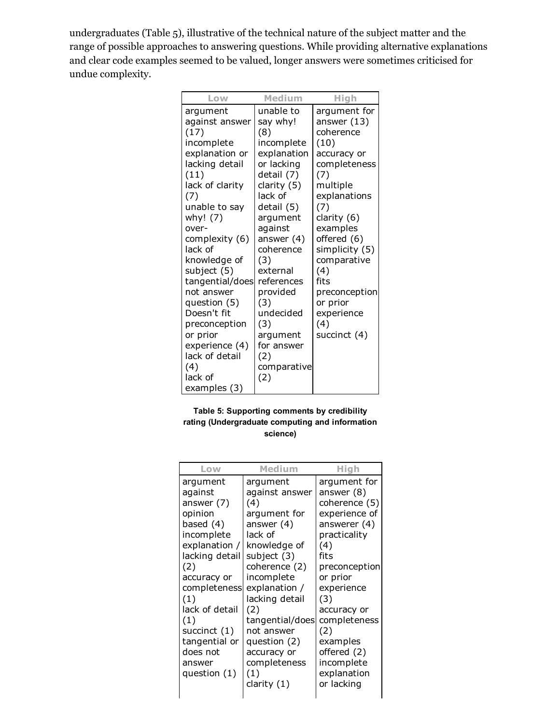undergraduates (Table 5), illustrative of the technical nature of the subject matter and the range of possible approaches to answering questions. While providing alternative explanations and clear code examples seemed to be valued, longer answers were sometimes criticised for undue complexity.

| Low             | Medium      | <b>High</b>    |
|-----------------|-------------|----------------|
| argument        | unable to   | argument for   |
| against answer  | say why!    | answer $(13)$  |
| (17)            | (8)         | coherence      |
| incomplete      | incomplete  | (10)           |
| explanation or  | explanation | accuracy or    |
| lacking detail  | or lacking  | completeness   |
| (11)            | detail (7)  | (7)            |
| lack of clarity | clarity (5) | multiple       |
| (7)             | lack of     | explanations   |
| unable to say   | detail (5)  | (7)            |
| why! (7)        | argument    | clarity (6)    |
| over-           | against     | examples       |
| complexity (6)  | answer (4)  | offered (6)    |
| lack of         | coherence   | simplicity (5) |
| knowledge of    | (3)         | comparative    |
| subject (5)     | external    | (4)            |
| tangential/does | references  | fits           |
| not answer      | provided    | preconception  |
| question (5)    | (3)         | or prior       |
| Doesn't fit     | undecided   | experience     |
| preconception   | (3)         | (4)            |
| or prior        | argument    | succinct (4)   |
| experience (4)  | for answer  |                |
| lack of detail  | (2)         |                |
| (4)             | comparative |                |
| lack of         | (2)         |                |
| examples (3)    |             |                |

#### Table 5: Supporting comments by credibility rating (Undergraduate computing and information science)

| Low                                                                                                                                  | <b>Medium</b>                                                                                                                                              | High                                                                                                                                      |
|--------------------------------------------------------------------------------------------------------------------------------------|------------------------------------------------------------------------------------------------------------------------------------------------------------|-------------------------------------------------------------------------------------------------------------------------------------------|
| argument<br>against<br>answer (7)<br>opinion<br>based (4)<br>incomplete<br>explanation /<br>lacking detail<br>(2)                    | argument<br>against answer<br>(4)<br>argument for<br>answer $(4)$<br>lack of<br>knowledge of<br>subject (3)<br>coherence (2)                               | argument for<br>answer (8)<br>coherence (5)<br>experience of<br>answerer (4)<br>practicality<br>(4)<br>fits<br>preconception              |
| accuracy or<br>completeness<br>(1)<br>lack of detail<br>(1)<br>succinct $(1)$<br>tangential or<br>does not<br>answer<br>question (1) | incomplete<br>explanation /<br>lacking detail<br>(2)<br>tangential/does<br>not answer<br>question (2)<br>accuracy or<br>completeness<br>(1)<br>clarity (1) | or prior<br>experience<br>(3)<br>accuracy or<br>completeness<br>(2)<br>examples<br>offered (2)<br>incomplete<br>explanation<br>or lacking |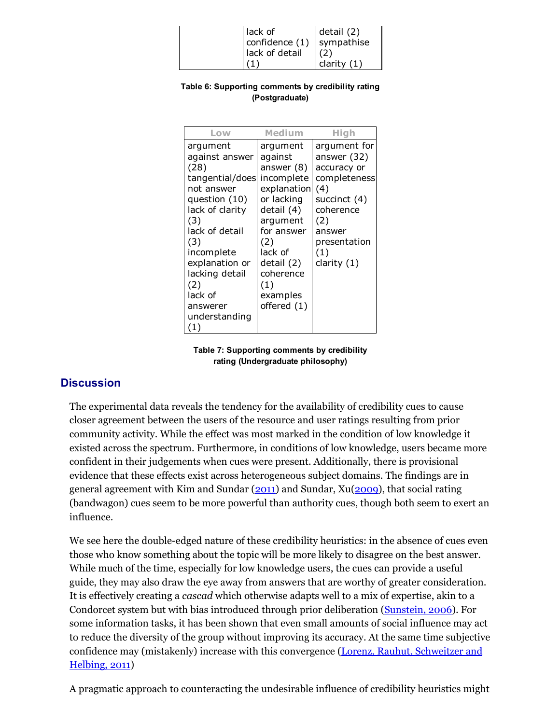| confidence (1) $\begin{vmatrix} \text{detail (2)} \\ \text{symptnise} \\ \text{lack of detail} \end{vmatrix}$ | clarity(1) |
|---------------------------------------------------------------------------------------------------------------|------------|
|---------------------------------------------------------------------------------------------------------------|------------|

#### Table 6: Supporting comments by credibility rating (Postgraduate)

| Low                                                                                                                                                     | Medium                                                                                                              | High                                                                              |
|---------------------------------------------------------------------------------------------------------------------------------------------------------|---------------------------------------------------------------------------------------------------------------------|-----------------------------------------------------------------------------------|
| argument<br>against answer<br>(28)<br>tangential/does<br>not answer<br>question (10)                                                                    | argument<br>against<br>answer (8)<br>incomplete<br>explanation<br>or lacking                                        | argument for<br>answer (32)<br>accuracy or<br>completeness<br>(4)<br>succinct (4) |
| lack of clarity<br>(3)<br>lack of detail<br>(3)<br>incomplete<br>explanation or<br>lacking detail<br>(2)<br>lack of<br>answerer<br>understanding<br>(1) | detail (4)<br>arqument<br>for answer<br>(2)<br>lack of<br>detail (2)<br>coherence<br>(1)<br>examples<br>offered (1) | coherence<br>(2)<br>answer<br>presentation<br>(1)<br>clarity $(1)$                |

Table 7: Supporting comments by credibility rating (Undergraduate philosophy)

## **Discussion**

The experimental data reveals the tendency for the availability of credibility cues to cause closer agreement between the users of the resource and user ratings resulting from prior community activity. While the effect was most marked in the condition of low knowledge it existed across the spectrum. Furthermore, in conditions of low knowledge, users became more confident in their judgements when cues were present. Additionally, there is provisional evidence that these effects exist across heterogeneous subject domains. The findings are in general agreement with Kim and Sundar ([2011](http://www.informationr.net/ir/20-1/isic2/isic27.html#kim11)) and Sundar, Xu[\(2009\)](http://www.informationr.net/ir/20-1/isic2/isic27.html#sun09), that social rating (bandwagon) cues seem to be more powerful than authority cues, though both seem to exert an influence.

We see here the double-edged nature of these credibility heuristics: in the absence of cues even those who know something about the topic will be more likely to disagree on the best answer. While much of the time, especially for low knowledge users, the cues can provide a useful guide, they may also draw the eye away from answers that are worthy of greater consideration. It is effectively creating a cascad which otherwise adapts well to a mix of expertise, akin to a Condorcet system but with bias introduced through prior deliberation [\(Sunstein,](http://www.informationr.net/ir/20-1/isic2/isic27.html#sun06) 2006). For some information tasks, it has been shown that even small amounts of social influence may act to reduce the diversity of the group without improving its accuracy. At the same time subjective confidence may [\(mistakenly\)](http://www.informationr.net/ir/20-1/isic2/isic27.html#lor11) increase with this convergence (Lorenz, Rauhut, Schweitzer and Helbing, 2011)

A pragmatic approach to counteracting the undesirable influence of credibility heuristics might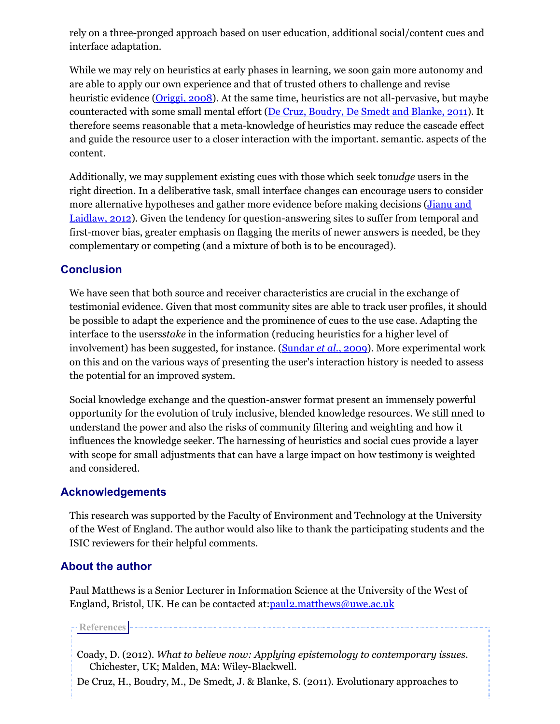rely on a three-pronged approach based on user education, additional social/content cues and interface adaptation.

While we may rely on heuristics at early phases in learning, we soon gain more autonomy and are able to apply our own experience and that of trusted others to challenge and revise heuristic evidence [\(Origgi,](http://www.informationr.net/ir/20-1/isic2/isic27.html#ori08) 2008). At the same time, heuristics are not all-pervasive, but maybe counteracted with some small mental effort (De Cruz, [Boudry,](http://www.informationr.net/ir/20-1/isic2/isic27.html#dec11) De Smedt and Blanke, 2011). It therefore seems reasonable that a meta-knowledge of heuristics may reduce the cascade effect and guide the resource user to a closer interaction with the important. semantic. aspects of the content.

Additionally, we may supplement existing cues with those which seek tonudge users in the right direction. In a deliberative task, small interface changes can encourage users to consider more alternative hypotheses and gather more evidence before making decisions (Jianu and Laidlaw, 2012). Given the tendency for question-answering sites to suffer from temporal and first-mover bias, greater emphasis on flagging the merits of newer answers is needed, be they complementary or competing (and a mixture of both is to be encouraged).

## **Conclusion**

We have seen that both source and receiver characteristics are crucial in the exchange of testimonial evidence. Given that most community sites are able to track user profiles, it should be possible to adapt the experience and the prominence of cues to the use case. Adapting the interface to the usersstake in the information (reducing heuristics for a higher level of involvement) has been suggested, for instance. [\(Sundar](http://www.informationr.net/ir/20-1/isic2/isic27.html#sun09) et al., 2009). More experimental work on this and on the various ways of presenting the user's interaction history is needed to assess the potential for an improved system.

Social knowledge exchange and the question-answer format present an immensely powerful opportunity for the evolution of truly inclusive, blended knowledge resources. We still nned to understand the power and also the risks of community filtering and weighting and how it influences the knowledge seeker. The harnessing of heuristics and social cues provide a layer with scope for small adjustments that can have a large impact on how testimony is weighted and considered.

### Acknowledgements

This research was supported by the Faculty of Environment and Technology at the University of the West of England. The author would also like to thank the participating students and the ISIC reviewers for their helpful comments.

## About the author

Paul Matthews is a Senior Lecturer in Information Science at the University of the West of England, Bristol, UK. He can be contacted at[:paul2.matthews@uwe.ac.uk](mailto:paul2.matthews@uwe.ac.uk)

#### References

Coady, D. (2012). What to believe now: Applying epistemology to contemporary issues. Chichester, UK; Malden, MA: Wiley-Blackwell.

De Cruz, H., Boudry, M., De Smedt, J. & Blanke, S. (2011). Evolutionary approaches to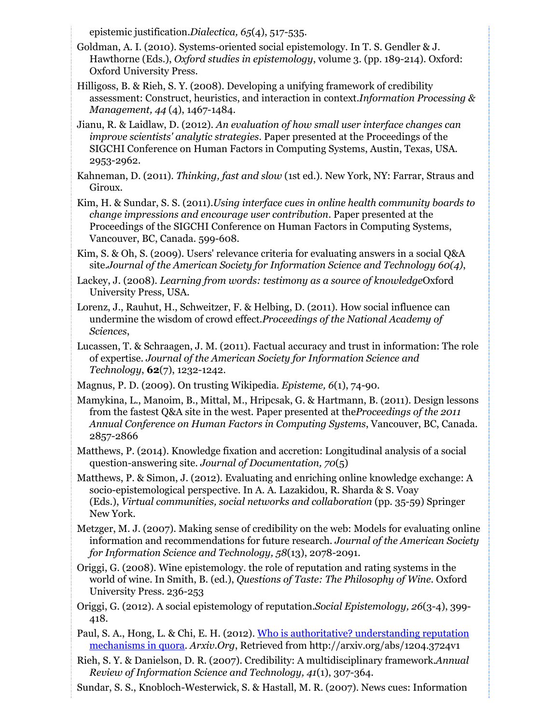epistemic justification.Dialectica,  $65(4)$ ,  $517-535$ .

- Goldman, A. I. (2010). Systems-oriented social epistemology. In T. S. Gendler & J. Hawthorne (Eds.), Oxford studies in epistemology, volume 3. (pp. 189-214). Oxford: Oxford University Press.
- Hilligoss, B. & Rieh, S. Y. (2008). Developing a unifying framework of credibility assessment: Construct, heuristics, and interaction in context.Information Processing & Management, 44 (4), 1467-1484.
- Jianu, R. & Laidlaw, D. (2012). An evaluation of how small user interface changes can improve scientists' analytic strategies. Paper presented at the Proceedings of the SIGCHI Conference on Human Factors in Computing Systems, Austin, Texas, USA. 2953-2962.
- Kahneman, D. (2011). Thinking, fast and slow (1st ed.). New York, NY: Farrar, Straus and Giroux.
- Kim, H. & Sundar, S. S. (2011).Using interface cues in online health community boards to change impressions and encourage user contribution. Paper presented at the Proceedings of the SIGCHI Conference on Human Factors in Computing Systems, Vancouver, BC, Canada. 599-608.
- Kim, S. & Oh, S. (2009). Users' relevance criteria for evaluating answers in a social Q&A site.Journal of the American Society for Information Science and Technology 60(4),
- Lackey, J. (2008). Learning from words: testimony as a source of knowledgeOxford University Press, USA.
- Lorenz, J., Rauhut, H., Schweitzer, F. & Helbing, D. (2011). How social influence can undermine the wisdom of crowd effect.Proceedings of the National Academy of Sciences,
- Lucassen, T. & Schraagen, J. M. (2011). Factual accuracy and trust in information: The role of expertise. Journal of the American Society for Information Science and Technology,  $62(7)$ , 1232-1242.
- Magnus, P. D. (2009). On trusting Wikipedia. Episteme,  $6(1)$ , 74-90.
- Mamykina, L., Manoim, B., Mittal, M., Hripcsak, G. & Hartmann, B. (2011). Design lessons from the fastest Q&A site in the west. Paper presented at theProceedings of the 2011 Annual Conference on Human Factors in Computing Systems, Vancouver, BC, Canada. 2857-2866
- Matthews, P. (2014). Knowledge fixation and accretion: Longitudinal analysis of a social question-answering site. Journal of Documentation,  $70(5)$
- Matthews, P. & Simon, J. (2012). Evaluating and enriching online knowledge exchange: A socio-epistemological perspective. In A. A. Lazakidou, R. Sharda & S. Voay (Eds.), Virtual communities, social networks and collaboration (pp. 35-59) Springer New York.
- Metzger, M. J. (2007). Making sense of credibility on the web: Models for evaluating online information and recommendations for future research. Journal of the American Society for Information Science and Technology,  $58(13)$ , 2078-2091.
- Origgi, G. (2008). Wine epistemology. the role of reputation and rating systems in the world of wine. In Smith, B. (ed.), Questions of Taste: The Philosophy of Wine. Oxford University Press. 236-253
- Origgi, G. (2012). A social epistemology of reputation. Social Epistemology, 26(3-4), 399-418.
- Paul, S. A., Hong, L. & Chi, E. H. (2012). Who is authoritative? understanding reputation mechanisms in quora. Arxiv.Org, Retrieved from <http://arxiv.org/abs/1204.3724v1>
- Rieh, S. Y. & Danielson, D. R. (2007). Credibility: A multidisciplinary framework.Annual Review of Information Science and Technology,  $41(1)$ , 307-364.
- Sundar, S. S., Knobloch-Westerwick, S. & Hastall, M. R. (2007). News cues: Information